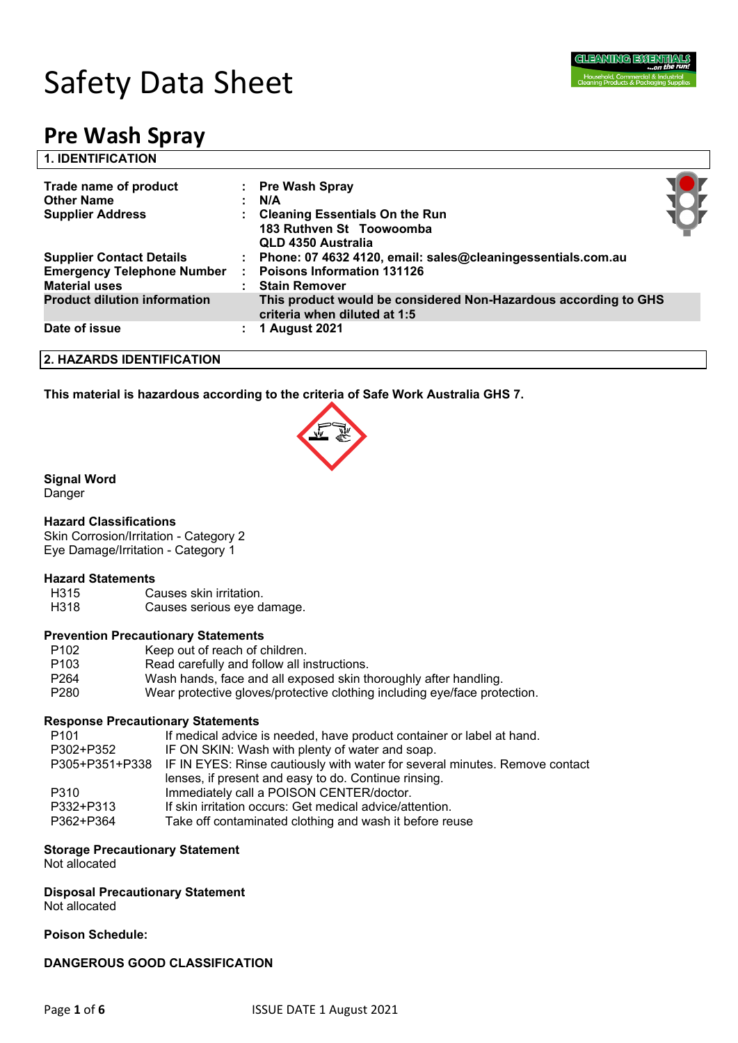

# Safety Data Sheet

## **Pre Wash Spray**

| <b>1. IDENTIFICATION</b>                                                                                                                                                                                            |  |
|---------------------------------------------------------------------------------------------------------------------------------------------------------------------------------------------------------------------|--|
| Trade name of product<br>: Pre Wash Spray<br><b>Other Name</b><br>: N/A                                                                                                                                             |  |
| <b>Supplier Address</b><br>: Cleaning Essentials On the Run<br>183 Ruthven St Toowoomba<br>QLD 4350 Australia                                                                                                       |  |
| <b>Supplier Contact Details</b><br>: Phone: 07 4632 4120, email: sales@cleaningessentials.com.au<br>Poisons Information 131126<br><b>Emergency Telephone Number</b><br><b>Material uses</b><br><b>Stain Remover</b> |  |
| <b>Product dilution information</b><br>This product would be considered Non-Hazardous according to GHS<br>criteria when diluted at 1:5                                                                              |  |
| Date of issue<br>1 August 2021                                                                                                                                                                                      |  |

#### **2. HAZARDS IDENTIFICATION**

**This material is hazardous according to the criteria of Safe Work Australia GHS 7.**



#### **Signal Word**

Danger

#### **Hazard Classifications**

Skin Corrosion/Irritation - Category 2 Eye Damage/Irritation - Category 1

## **Hazard Statements**<br>H315 Ca

- Causes skin irritation.
- H318 Causes serious eye damage.

#### **Prevention Precautionary Statements**

- P102 Keep out of reach of children.
- P103 Read carefully and follow all instructions.
- P264 Wash hands, face and all exposed skin thoroughly after handling.
- P280 Wear protective gloves/protective clothing including eye/face protection.

#### **Response Precautionary Statements**

| P <sub>101</sub> | If medical advice is needed, have product container or label at hand.                      |
|------------------|--------------------------------------------------------------------------------------------|
| P302+P352        | IF ON SKIN: Wash with plenty of water and soap.                                            |
|                  | P305+P351+P338 IF IN EYES: Rinse cautiously with water for several minutes. Remove contact |
|                  | lenses, if present and easy to do. Continue rinsing.                                       |
| P310             | Immediately call a POISON CENTER/doctor.                                                   |
| P332+P313        | If skin irritation occurs: Get medical advice/attention.                                   |
| P362+P364        | Take off contaminated clothing and wash it before reuse                                    |
|                  |                                                                                            |

#### **Storage Precautionary Statement**

Not allocated

### **Disposal Precautionary Statement**

Not allocated

#### **Poison Schedule:**

**DANGEROUS GOOD CLASSIFICATION**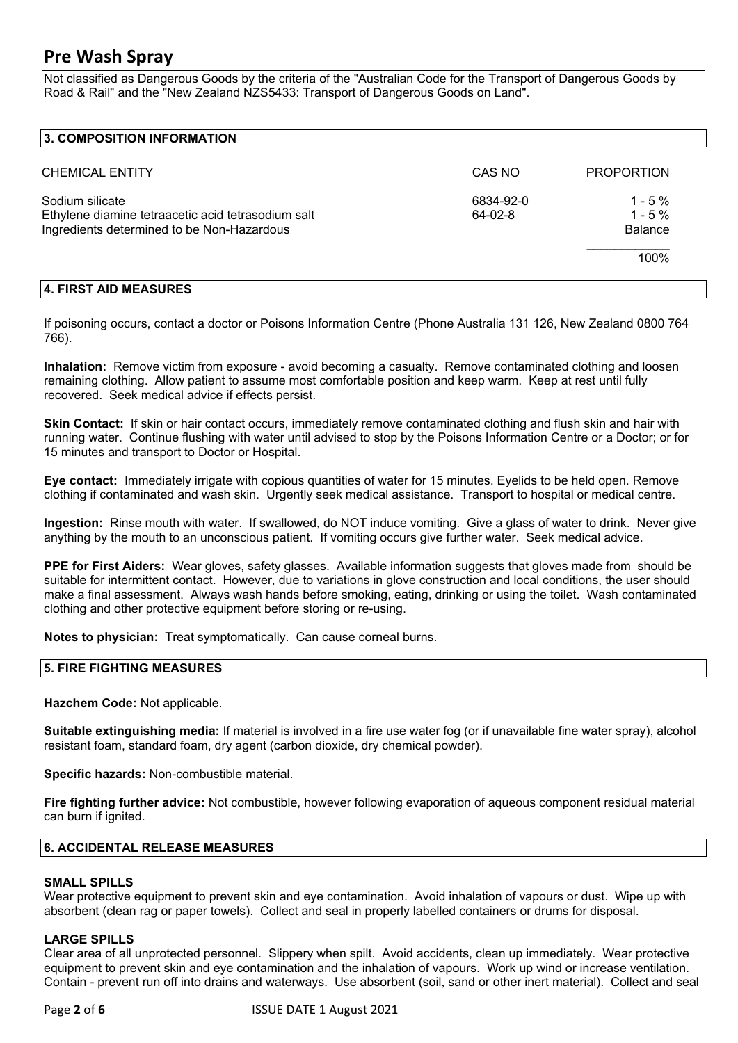Not classified as Dangerous Goods by the criteria of the "Australian Code for the Transport of Dangerous Goods by Road & Rail" and the "New Zealand NZS5433: Transport of Dangerous Goods on Land".

#### **3. COMPOSITION INFORMATION**

| <b>CHEMICAL ENTITY</b>                                                                                              | CAS NO               | <b>PROPORTION</b>                        |
|---------------------------------------------------------------------------------------------------------------------|----------------------|------------------------------------------|
| Sodium silicate<br>Ethylene diamine tetraacetic acid tetrasodium salt<br>Ingredients determined to be Non-Hazardous | 6834-92-0<br>64-02-8 | $1 - 5\%$<br>$1 - 5\%$<br><b>Balance</b> |
|                                                                                                                     |                      | 100%                                     |

#### **4. FIRST AID MEASURES**

If poisoning occurs, contact a doctor or Poisons Information Centre (Phone Australia 131 126, New Zealand 0800 764 766).

**Inhalation:** Remove victim from exposure - avoid becoming a casualty. Remove contaminated clothing and loosen remaining clothing. Allow patient to assume most comfortable position and keep warm. Keep at rest until fully recovered. Seek medical advice if effects persist.

**Skin Contact:** If skin or hair contact occurs, immediately remove contaminated clothing and flush skin and hair with running water. Continue flushing with water until advised to stop by the Poisons Information Centre or a Doctor; or for 15 minutes and transport to Doctor or Hospital.

**Eye contact:** Immediately irrigate with copious quantities of water for 15 minutes. Eyelids to be held open. Remove clothing if contaminated and wash skin. Urgently seek medical assistance. Transport to hospital or medical centre.

**Ingestion:** Rinse mouth with water. If swallowed, do NOT induce vomiting. Give a glass of water to drink. Never give anything by the mouth to an unconscious patient. If vomiting occurs give further water. Seek medical advice.

**PPE for First Aiders:** Wear gloves, safety glasses. Available information suggests that gloves made from should be suitable for intermittent contact. However, due to variations in glove construction and local conditions, the user should make a final assessment. Always wash hands before smoking, eating, drinking or using the toilet. Wash contaminated clothing and other protective equipment before storing or re-using.

**Notes to physician:** Treat symptomatically. Can cause corneal burns.

#### **5. FIRE FIGHTING MEASURES**

**Hazchem Code:** Not applicable.

**Suitable extinguishing media:** If material is involved in a fire use water fog (or if unavailable fine water spray), alcohol resistant foam, standard foam, dry agent (carbon dioxide, dry chemical powder).

**Specific hazards:** Non-combustible material.

**Fire fighting further advice:** Not combustible, however following evaporation of aqueous component residual material can burn if ignited.

#### **6. ACCIDENTAL RELEASE MEASURES**

#### **SMALL SPILLS**

Wear protective equipment to prevent skin and eye contamination. Avoid inhalation of vapours or dust. Wipe up with absorbent (clean rag or paper towels). Collect and seal in properly labelled containers or drums for disposal.

#### **LARGE SPILLS**

Clear area of all unprotected personnel. Slippery when spilt. Avoid accidents, clean up immediately. Wear protective equipment to prevent skin and eye contamination and the inhalation of vapours. Work up wind or increase ventilation. Contain - prevent run off into drains and waterways. Use absorbent (soil, sand or other inert material). Collect and seal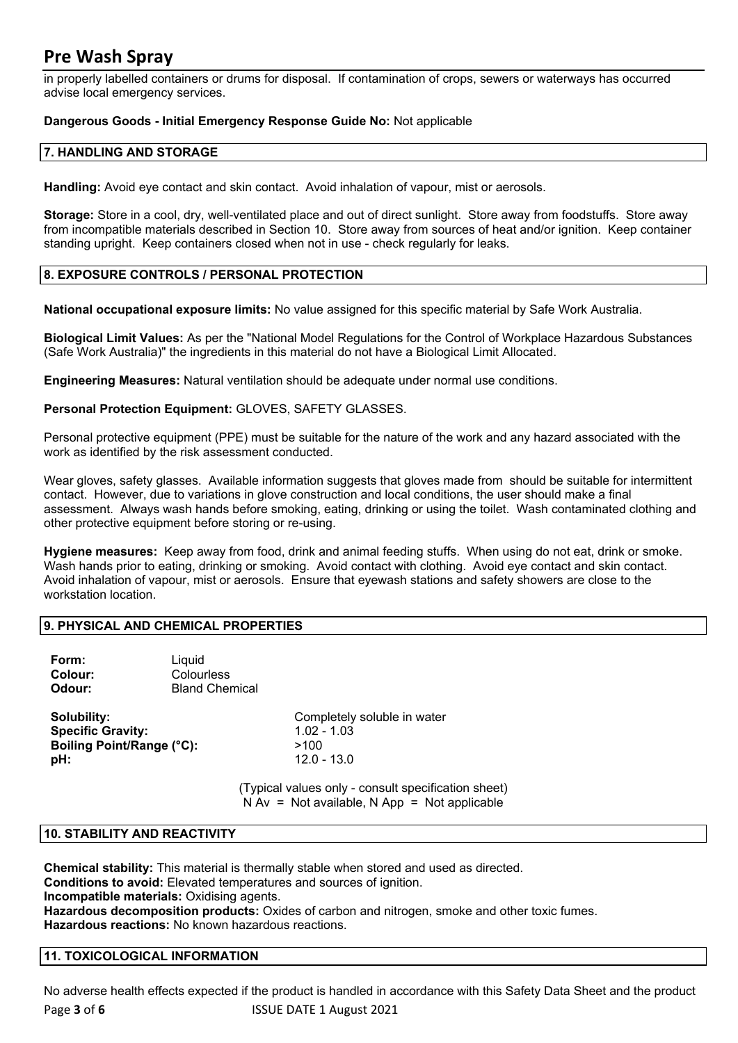in properly labelled containers or drums for disposal. If contamination of crops, sewers or waterways has occurred advise local emergency services.

#### **Dangerous Goods - Initial Emergency Response Guide No:** Not applicable

#### **7. HANDLING AND STORAGE**

**Handling:** Avoid eye contact and skin contact. Avoid inhalation of vapour, mist or aerosols.

**Storage:** Store in a cool, dry, well-ventilated place and out of direct sunlight. Store away from foodstuffs. Store away from incompatible materials described in Section 10. Store away from sources of heat and/or ignition. Keep container standing upright. Keep containers closed when not in use - check regularly for leaks.

#### **8. EXPOSURE CONTROLS / PERSONAL PROTECTION**

**National occupational exposure limits:** No value assigned for this specific material by Safe Work Australia.

**Biological Limit Values:** As per the "National Model Regulations for the Control of Workplace Hazardous Substances (Safe Work Australia)" the ingredients in this material do not have a Biological Limit Allocated.

**Engineering Measures:** Natural ventilation should be adequate under normal use conditions.

**Personal Protection Equipment:** GLOVES, SAFETY GLASSES.

Personal protective equipment (PPE) must be suitable for the nature of the work and any hazard associated with the work as identified by the risk assessment conducted.

Wear gloves, safety glasses. Available information suggests that gloves made from should be suitable for intermittent contact. However, due to variations in glove construction and local conditions, the user should make a final assessment. Always wash hands before smoking, eating, drinking or using the toilet. Wash contaminated clothing and other protective equipment before storing or re-using.

**Hygiene measures:** Keep away from food, drink and animal feeding stuffs. When using do not eat, drink or smoke. Wash hands prior to eating, drinking or smoking. Avoid contact with clothing. Avoid eye contact and skin contact. Avoid inhalation of vapour, mist or aerosols. Ensure that eyewash stations and safety showers are close to the workstation location.

#### **9. PHYSICAL AND CHEMICAL PROPERTIES**

| Form:<br>Colour:<br>Odour: | Liauid<br>Colourless<br><b>Bland Chemical</b> |               |
|----------------------------|-----------------------------------------------|---------------|
| Solubility:                |                                               | Completely so |

**Specific Gravity: Boiling Point/Range (°C):** >100 **pH:** 12.0 - 13.0

**Solubility soluble in water 1 02 - 1 03** 

(Typical values only - consult specification sheet)  $N Av = Not available$ ,  $N App = Not applicable$ 

#### **10. STABILITY AND REACTIVITY**

**Chemical stability:** This material is thermally stable when stored and used as directed. **Conditions to avoid:** Elevated temperatures and sources of ignition. **Incompatible materials:** Oxidising agents. **Hazardous decomposition products:** Oxides of carbon and nitrogen, smoke and other toxic fumes. **Hazardous reactions:** No known hazardous reactions.

#### **11. TOXICOLOGICAL INFORMATION**

Page **3** of **6** ISSUE DATE 1 August 2021 No adverse health effects expected if the product is handled in accordance with this Safety Data Sheet and the product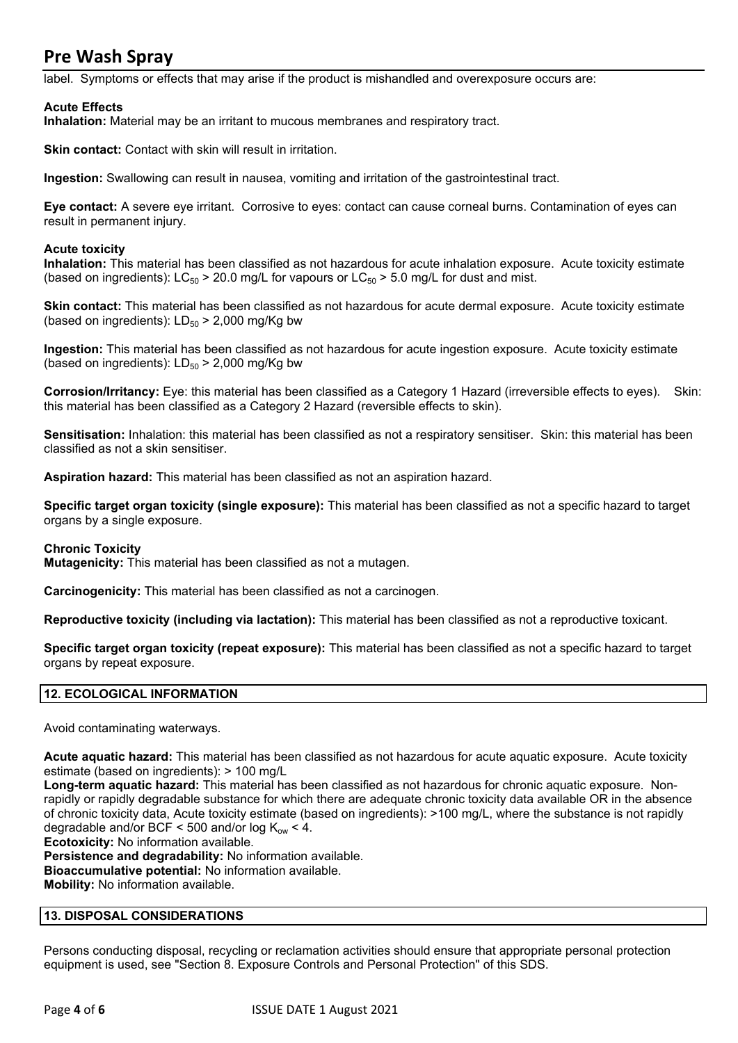label. Symptoms or effects that may arise if the product is mishandled and overexposure occurs are:

#### **Acute Effects**

**Inhalation:** Material may be an irritant to mucous membranes and respiratory tract.

**Skin contact:** Contact with skin will result in irritation.

**Ingestion:** Swallowing can result in nausea, vomiting and irritation of the gastrointestinal tract.

**Eye contact:** A severe eye irritant. Corrosive to eyes: contact can cause corneal burns. Contamination of eyes can result in permanent injury.

#### **Acute toxicity**

**Inhalation:** This material has been classified as not hazardous for acute inhalation exposure. Acute toxicity estimate (based on ingredients):  $LC_{50}$  > 20.0 mg/L for vapours or  $LC_{50}$  > 5.0 mg/L for dust and mist.

**Skin contact:** This material has been classified as not hazardous for acute dermal exposure. Acute toxicity estimate (based on ingredients):  $LD_{50}$  > 2,000 mg/Kg bw

**Ingestion:** This material has been classified as not hazardous for acute ingestion exposure. Acute toxicity estimate (based on ingredients):  $LD_{50}$  > 2,000 mg/Kg bw

**Corrosion/Irritancy:** Eye: this material has been classified as a Category 1 Hazard (irreversible effects to eyes). Skin: this material has been classified as a Category 2 Hazard (reversible effects to skin).

**Sensitisation:** Inhalation: this material has been classified as not a respiratory sensitiser. Skin: this material has been classified as not a skin sensitiser.

**Aspiration hazard:** This material has been classified as not an aspiration hazard.

**Specific target organ toxicity (single exposure):** This material has been classified as not a specific hazard to target organs by a single exposure.

#### **Chronic Toxicity**

**Mutagenicity:** This material has been classified as not a mutagen.

**Carcinogenicity:** This material has been classified as not a carcinogen.

**Reproductive toxicity (including via lactation):** This material has been classified as not a reproductive toxicant.

**Specific target organ toxicity (repeat exposure):** This material has been classified as not a specific hazard to target organs by repeat exposure.

#### **12. ECOLOGICAL INFORMATION**

Avoid contaminating waterways.

**Acute aquatic hazard:** This material has been classified as not hazardous for acute aquatic exposure. Acute toxicity estimate (based on ingredients): > 100 mg/L

**Long-term aquatic hazard:** This material has been classified as not hazardous for chronic aquatic exposure. Nonrapidly or rapidly degradable substance for which there are adequate chronic toxicity data available OR in the absence of chronic toxicity data, Acute toxicity estimate (based on ingredients): >100 mg/L, where the substance is not rapidly degradable and/or BCF < 500 and/or log  $K_{ow}$  < 4.

**Ecotoxicity:** No information available.

**Persistence and degradability:** No information available. **Bioaccumulative potential:** No information available. **Mobility:** No information available.

#### **13. DISPOSAL CONSIDERATIONS**

Persons conducting disposal, recycling or reclamation activities should ensure that appropriate personal protection equipment is used, see "Section 8. Exposure Controls and Personal Protection" of this SDS.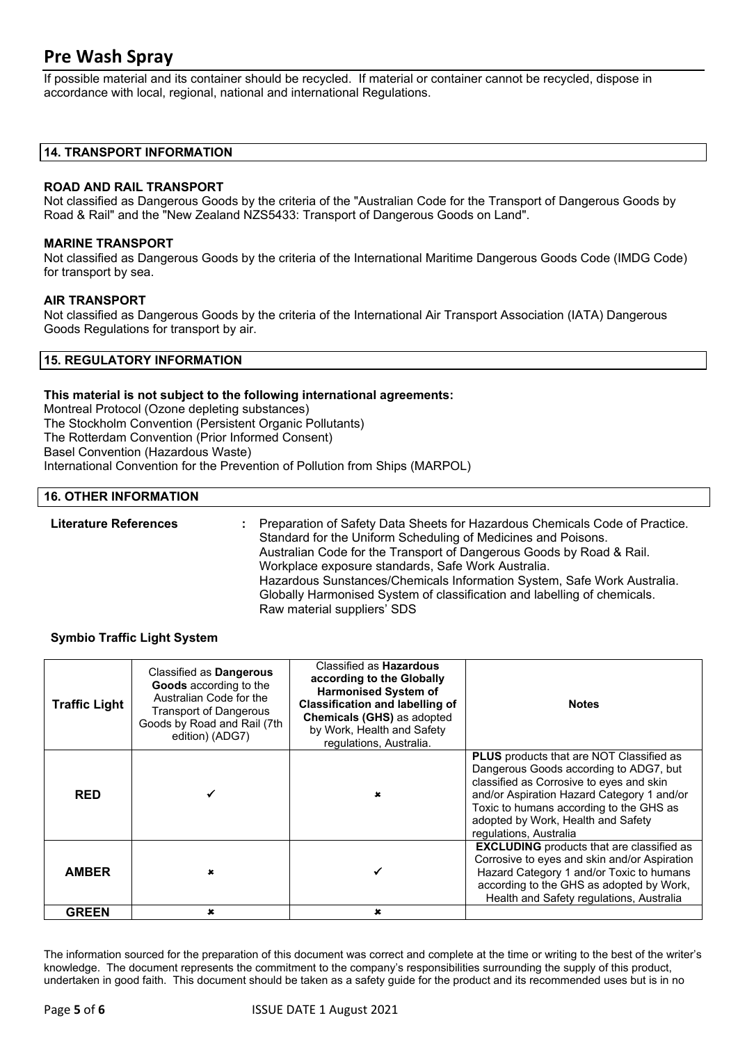If possible material and its container should be recycled. If material or container cannot be recycled, dispose in accordance with local, regional, national and international Regulations.

#### **14. TRANSPORT INFORMATION**

#### **ROAD AND RAIL TRANSPORT**

Not classified as Dangerous Goods by the criteria of the "Australian Code for the Transport of Dangerous Goods by Road & Rail" and the "New Zealand NZS5433: Transport of Dangerous Goods on Land".

#### **MARINE TRANSPORT**

Not classified as Dangerous Goods by the criteria of the International Maritime Dangerous Goods Code (IMDG Code) for transport by sea.

#### **AIR TRANSPORT**

Not classified as Dangerous Goods by the criteria of the International Air Transport Association (IATA) Dangerous Goods Regulations for transport by air.

#### **15. REGULATORY INFORMATION**

#### **This material is not subject to the following international agreements:**

Montreal Protocol (Ozone depleting substances) The Stockholm Convention (Persistent Organic Pollutants) The Rotterdam Convention (Prior Informed Consent) Basel Convention (Hazardous Waste) International Convention for the Prevention of Pollution from Ships (MARPOL)

#### **16. OTHER INFORMATION**

**Literature References :** Preparation of Safety Data Sheets for Hazardous Chemicals Code of Practice. Standard for the Uniform Scheduling of Medicines and Poisons. Australian Code for the Transport of Dangerous Goods by Road & Rail. Workplace exposure standards, Safe Work Australia. Hazardous Sunstances/Chemicals Information System, Safe Work Australia. Globally Harmonised System of classification and labelling of chemicals. Raw material suppliers' SDS

#### **Symbio Traffic Light System**

| <b>Traffic Light</b> | Classified as Dangerous<br>Goods according to the<br>Australian Code for the<br><b>Transport of Dangerous</b><br>Goods by Road and Rail (7th<br>edition) (ADG7) | Classified as <b>Hazardous</b><br>according to the Globally<br><b>Harmonised System of</b><br><b>Classification and labelling of</b><br>Chemicals (GHS) as adopted<br>by Work, Health and Safety<br>regulations, Australia. | <b>Notes</b>                                                                                                                                                                                                                                                                            |
|----------------------|-----------------------------------------------------------------------------------------------------------------------------------------------------------------|-----------------------------------------------------------------------------------------------------------------------------------------------------------------------------------------------------------------------------|-----------------------------------------------------------------------------------------------------------------------------------------------------------------------------------------------------------------------------------------------------------------------------------------|
| <b>RED</b>           |                                                                                                                                                                 |                                                                                                                                                                                                                             | PLUS products that are NOT Classified as<br>Dangerous Goods according to ADG7, but<br>classified as Corrosive to eyes and skin<br>and/or Aspiration Hazard Category 1 and/or<br>Toxic to humans according to the GHS as<br>adopted by Work, Health and Safety<br>regulations, Australia |
| <b>AMBER</b>         | ×                                                                                                                                                               |                                                                                                                                                                                                                             | <b>EXCLUDING</b> products that are classified as<br>Corrosive to eyes and skin and/or Aspiration<br>Hazard Category 1 and/or Toxic to humans<br>according to the GHS as adopted by Work,<br>Health and Safety regulations, Australia                                                    |
| <b>GREEN</b>         | $\mathbf x$                                                                                                                                                     | $\mathbf x$                                                                                                                                                                                                                 |                                                                                                                                                                                                                                                                                         |

The information sourced for the preparation of this document was correct and complete at the time or writing to the best of the writer's knowledge. The document represents the commitment to the company's responsibilities surrounding the supply of this product, undertaken in good faith. This document should be taken as a safety guide for the product and its recommended uses but is in no